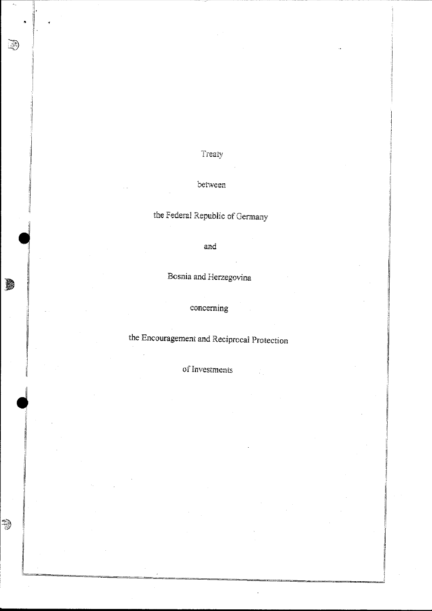Treaty

D

D

 $\Rightarrow$ 

# between

the Federal Republic of Germany

and

Bosnia and Herzegovina

concerning

the Encouragement and Reciprocal Protection

of Investments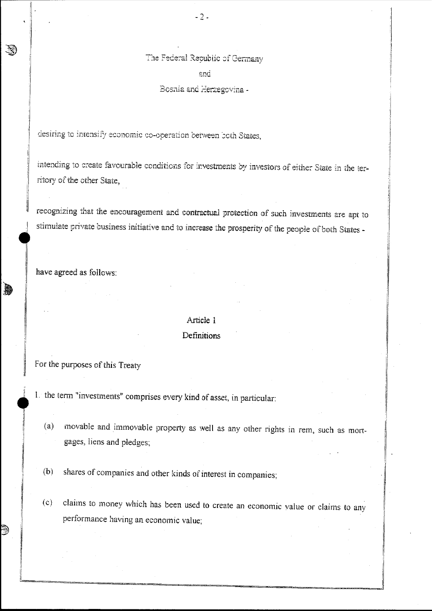The Federal Republic of Germany  $end$ 

Bosnia and Herzegovina -

desiring to intensify economic co-operation between both States,

intending to create favourable conditions for investments by investors of either State in the territory of the other State,

recognizing that the encouragement and contractual protection of such investments are apt to stimulate private business initiative and to increase the prosperity of the people of both States -

have agreed as follows:

**AND** 

ð

# Article 1 **Definitions**

#### For the purposes of this Treaty

- 1. the term "investments" comprises every kind of asset, in particular:
	- movable and immovable property as well as any other rights in rem, such as mort- $(a)$ gages, liens and pledges;
	- shares of companies and other kinds of interest in companies;  $(b)$
	- $(c)$ claims to money which has been used to create an economic value or claims to any performance having an economic value;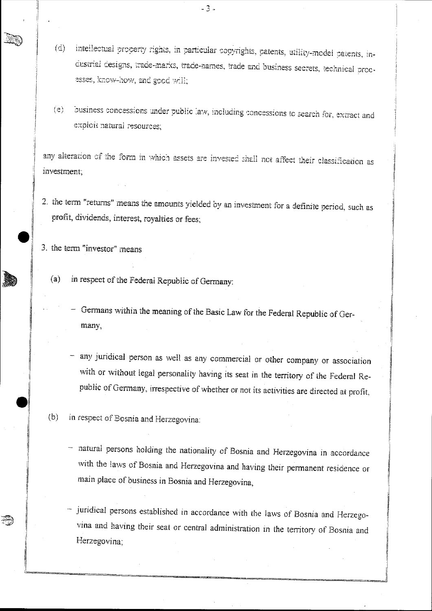- intellectual property rights, in particular copyrights, patents, utility-model patents, in- $(d)$ dustrial designs, trade-marks, trade-names, trade and business secrets, technical processes, know-how, and good will;
- business concessions under public law, including concessions to search for, extract and  $(e)$ exploit natural resources:

any alteration of the form in which assets are invested shall not affect their classification as investment:

2. the term "returns" means the amounts yielded by an investment for a definite period, such as profit, dividends, interest, royalties or fees;

3. the term "investor" means

- in respect of the Federal Republic of Germany:  $(a)$ 
	- Germans within the meaning of the Basic Law for the Federal Republic of Germany,
	- any juridical person as well as any commercial or other company or association with or without legal personality having its seat in the territory of the Federal Republic of Germany, irrespective of whether or not its activities are directed at profit,

 $(b)$ in respect of Bosnia and Herzegovina:

- natural persons holding the nationality of Bosnia and Herzegovina in accordance with the laws of Bosnia and Herzegovina and having their permanent residence or main place of business in Bosnia and Herzegovina,
- juridical persons established in accordance with the laws of Bosnia and Herzegovina and having their seat or central administration in the territory of Bosnia and Herzegovina:

 $-3-$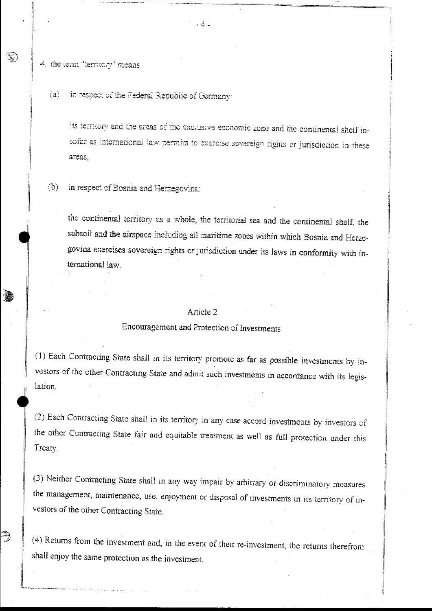4. the term "territory" means

J.

Ŋ

 $(a)$ in respect of the Federal Republic of Germany:

> its territory and the areas of the exclusive economic zone and the continental shelf insofar as international law permits to exercise sovereign rights or jurisdiction in these areas.

 $(b)$ in respect of Bosnia and Herzegovina:

> the continental territory as a whole, the territorial sea and the continental shelf, the subsoil and the airspace including all maritime zones within which Bosnia and Herzegovina exercises sovereign rights or jurisdiction under its laws in conformity with international law

### Article 2

# Encouragement and Protection of Investments

(1) Each Contracting State shall in its territory promote as far as possible investments by investors of the other Contracting State and admit such investments in accordance with its legislation.

(2) Each Contracting State shall in its territory in any case accord investments by investors of the other Contracting State fair and equitable treatment as well as full protection under this Treaty.

(3) Neither Contracting State shall in any way impair by arbitrary or discriminatory measures the management, maintenance, use, enjoyment or disposal of investments in its territory of investors of the other Contracting State.

(4) Returns from the investment and, in the event of their re-investment, the returns therefrom shall enjoy the same protection as the investment.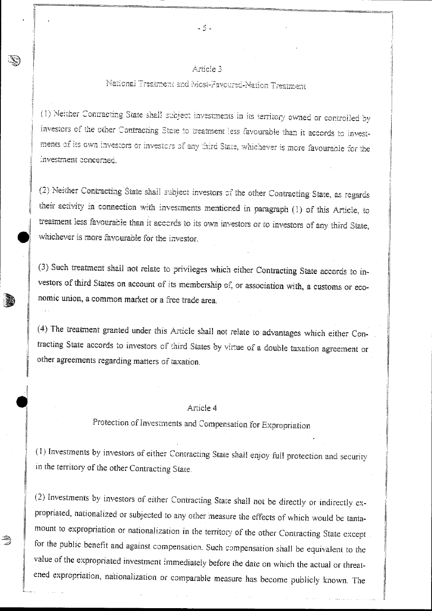## Article 3

# National Treatment and Most-Favoured-Nation Treatment

(1) Neither Contracting State shall subject investments in its territory owned or controlled by investors of the other Contracting State to treatment less favourable than it accords to investments of its own investors or investors of any third State, whichever is more favourable for the investment concerned

(2) Neither Contracting State shall subject investors of the other Contracting State, as regards their activity in connection with investments mentioned in paragraph (1) of this Article, to treatment less favourable than it accords to its own investors or to investors of any third State, whichever is more favourable for the investor.

(3) Such treatment shall not relate to privileges which either Contracting State accords to investors of third States on account of its membership of, or association with, a customs or economic union, a common market or a free trade area.

(4) The treatment granted under this Article shall not relate to advantages which either Contracting State accords to investors of third States by virtue of a double taxation agreement or other agreements regarding matters of taxation.

#### Article 4

Protection of Investments and Compensation for Expropriation

(1) Investments by investors of either Contracting State shall enjoy full protection and security in the territory of the other Contracting State.

(2) Investments by investors of either Contracting State shall not be directly or indirectly expropriated, nationalized or subjected to any other measure the effects of which would be tantamount to expropriation or nationalization in the territory of the other Contracting State except for the public benefit and against compensation. Such compensation shall be equivalent to the value of the expropriated investment immediately before the date on which the actual or threatened expropriation, nationalization or comparable measure has become publicly known. The

رچينه

 $-5 -$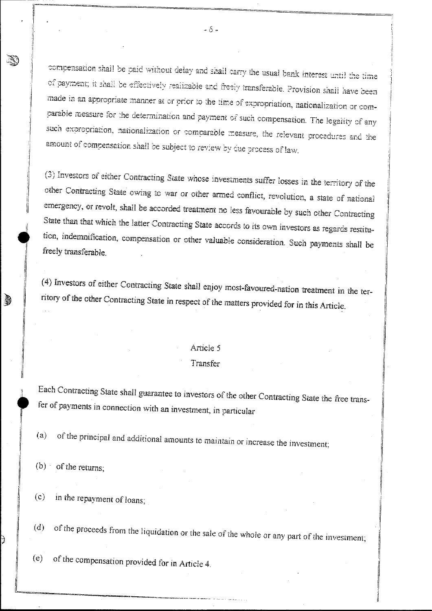compensation shall be paid without delay and shall carry the usual bank interest until the time of payment; it shall be effectively realizable and freely transferable. Provision shall have been made in an appropriate manner at or prior to the time of expropriation, nationalization or comparable measure for the determination and payment of such compensation. The legality of any such expropriation, nationalization or comparable measure, the relevant procedures and the amount of compensation shall be subject to review by due process of law.

(3) Investors of either Contracting State whose investments suffer losses in the territory of the other Contracting State owing to war or other armed conflict, revolution, a state of national emergency, or revolt, shall be accorded treatment no less favourable by such other Contracting State than that which the latter Contracting State accords to its own investors as regards restitution, indemnification, compensation or other valuable consideration. Such payments shall be freely transferable.

(4) Investors of either Contracting State shall enjoy most-favoured-nation treatment in the territory of the other Contracting State in respect of the matters provided for in this Article.

#### Article 5

#### Transfer

Each Contracting State shall guarantee to investors of the other Contracting State the free transfer of payments in connection with an investment, in particular

of the principal and additional amounts to maintain or increase the investment;  $(a)$ 

 $(b)$  of the returns;

ð

in the repayment of loans;  $(c)$ 

of the proceeds from the liquidation or the sale of the whole or any part of the investment;  $(d)$ 

of the compensation provided for in Article 4.  $(e)$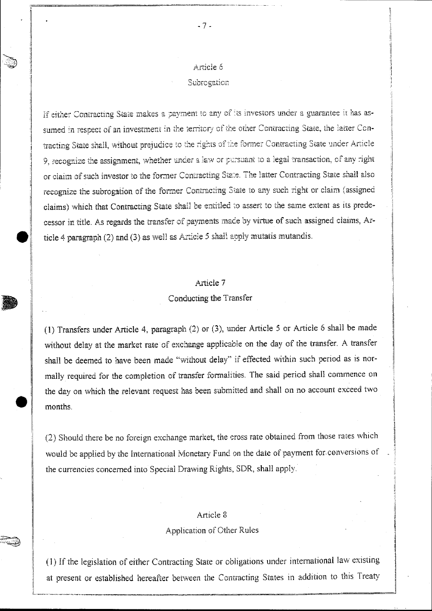$-7-$ 

#### Subrogation

If either Contracting State makes a payment to any of its investors under a guarantee it has assumed in respect of an investment in the territory of the other Contracting State, the latter Contracting State shall, without prejudice to the rights of the former Contracting State under Article 9, recognize the assignment, whether under a law or pursuant to a legal transaction, of any right or claim of such investor to the former Contracting State. The latter Contracting State shall also recognize the subrogation of the former Contracting State to any such right or claim (assigned claims) which that Contracting State shall be entitled to assert to the same extent as its predecessor in title. As regards the transfer of payments made by virtue of such assigned claims, Article 4 paragraph  $(2)$  and  $(3)$  as well as Article 5 shall apply mutatis mutandis.

## Article 7

#### Conducting the Transfer

(1) Transfers under Article 4, paragraph (2) or (3), under Article 5 or Article 6 shall be made without delay at the market rate of exchange applicable on the day of the transfer. A transfer shall be deemed to have been made "without delay" if effected within such period as is normally required for the completion of transfer formalities. The said period shall commence on the day on which the relevant request has been submitted and shall on no account exceed two months.

(2) Should there be no foreign exchange market, the cross rate obtained from those rates which would be applied by the International Monetary Fund on the date of payment for conversions of the currencies concerned into Special Drawing Rights, SDR, shall apply.

### Article 8

#### Application of Other Rules

(1) If the legislation of either Contracting State or obligations under international law existing at present or established hereafter between the Contracting States in addition to this Treaty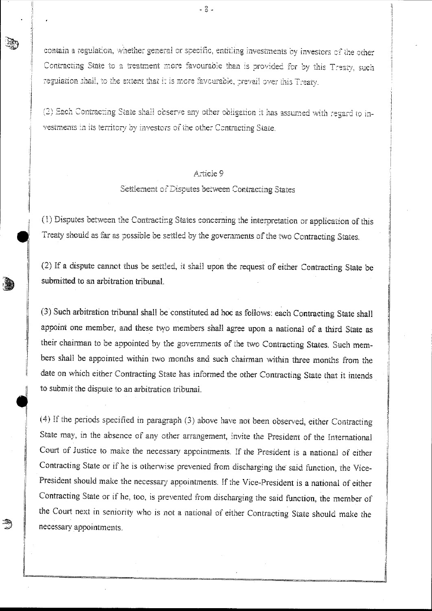contain a regulation, whether general or specific, entitling investments by investors of the other Contracting State to a treatment more favourable than is provided for by this Treaty, such regulation shall, to the extent that it is more favourable, prevail over this Treaty.

(2) Each Contracting State shall observe any other obligation it has assumed with regard to investments in its territory by investors of the other Contracting State,

### Atticle 9

## Settlement of Disputes between Contracting States

 $\begin{array}{c}\n\text{(1)} \text{L} \\
\text{Treat} \\
\text{(2)} \text{H}\n\end{array}$ (1) Disputes between the Contracting States concerning the interpretation or application of this Treaty should as far as possible be settled by the governments of the two Contracting States.

(2) If a dispute cannot thus be settled, it shall upon the request of either Contracting State be submitted to an arbitration tribunal.

I

ą

(3) Such arbitration tribunal shall be constituted ad hoc as follows: each Contracting State shall appoint one member, and these two members shall agree upon a national of a third State as their chairman to be appointed by the governments of the two Contracting States. Such members shall be appointed within two months and such chairman within three months from the date on which either Contracting State has informed the other Contracting State that it intends to submit the dispute to an arbitration tribunai.

(4) If the periods specified in paragraph (3) above have not been observed, either Contracting State may, in the absence of any other arrangement, invite the President of the International Court of Justice to make the necessary appointments. If the President is a national of either Contracting State or if he is otherwise prevented from discharging the said function, the Vice-President should make the necessary appointments. If the Vice-President is a national of either Contracting State or if he, too, is prevented from discharging the said function, the member of the Court next in seniority who is not a national of either Contracting State should make the necessary appointments.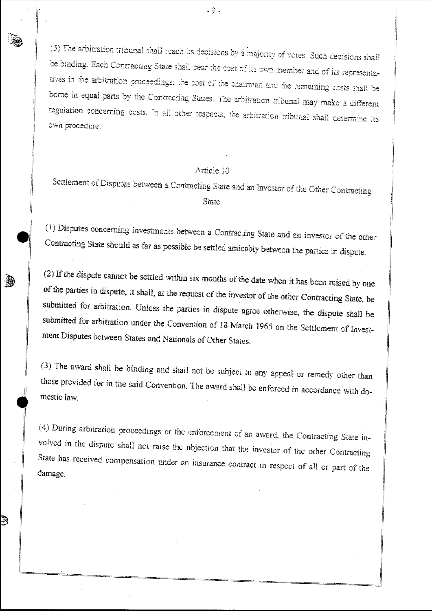(5) The arbitration tribunal shall reach its decisions by a majority of votes. Such decisions shall be binding. Each Contracting State shall bear the cost of its own member and of its representatives in the arbitration proceedings; the cost of the chairman and the remaining costs shall be borne in equal parts by the Contracting States. The arbitration tribunal may make a different regulation concerning costs. In all other respects, the arbitration tribunal shall determine its own procedure.

 $-9.$ 

# Article 10

Settlement of Disputes between a Contracting State and an Investor of the Other Contracting State

(1) Disputes concerning investments between a Contracting State and an investor of the other Contracting State should as far as possible be settled amicably between the parties in dispute.

(2) If the dispute cannot be settled within six months of the date when it has been raised by one of the parties in dispute, it shall, at the request of the investor of the other Contracting State, be submitted for arbitration. Unless the parties in dispute agree otherwise, the dispute shall be submitted for arbitration under the Convention of 18 March 1965 on the Settlement of Investment Disputes between States and Nationals of Other States.

(3) The award shall be binding and shall not be subject to any appeal or remedy other than those provided for in the said Convention. The award shall be enforced in accordance with domestic law

(4) During arbitration proceedings or the enforcement of an award, the Contracting State involved in the dispute shall not raise the objection that the investor of the other Contracting State has received compensation under an insurance contract in respect of all or part of the damage.

끯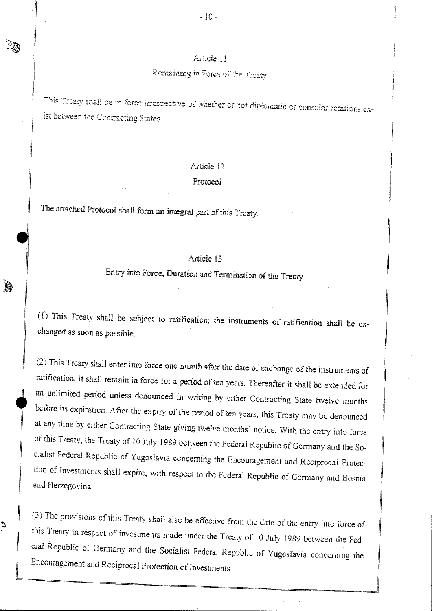# Article 11

# Remaining in Force of the Treaty

This Treaty shall be in force irrespective of whether or not diplomatic or consular relations exist between the Contracting States.

#### Article 12

#### Protocol

The attached Protocol shall form an integral part of this Treaty.

à,

ۮ

## Article 13

# Entry into Force, Duration and Termination of the Treaty

 $(1)$  This Treaty shall be subject to ratification; the instruments of ratification shall be exchanged as soon as possible.

(2) This Treaty shall enter into force one month after the date of exchange of the instruments of ratification. It shall remain in force for a period of ten years. Thereafter it shall be extended for an unlimited period unless denounced in writing by either Contracting State twelve months before its expiration. After the expiry of the period of ten years, this Treaty may be denounced at any time by either Contracting State giving twelve months' notice. With the entry into force of this Treaty, the Treaty of 10 July 1989 between the Federal Republic of Germany and the Socialist Federal Republic of Yugoslavia concerning the Encouragement and Reciprocal Protection of Investments shall expire, with respect to the Federal Republic of Germany and Bosnia and Herzegovina.

(3) The provisions of this Treaty shall also be effective from the date of the entry into force of this Treaty in respect of investments made under the Treaty of 10 July 1989 between the Federal Republic of Germany and the Socialist Federal Republic of Yugoslavia concerning the Encouragement and Reciprocal Protection of Investments.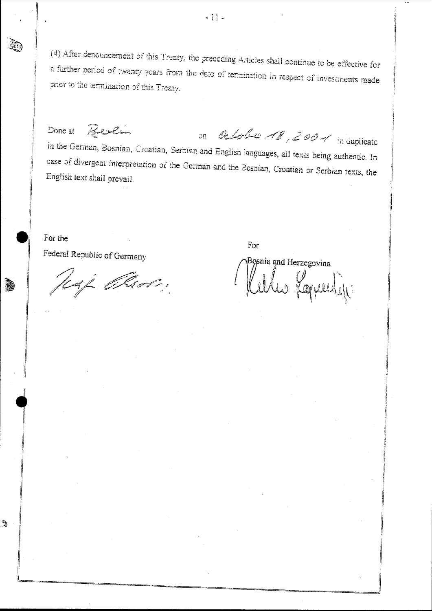(4) After denouncement of this Treaty, the preceding Articles shall continue to be effective for a further period of twenty years from the date of termination in respect of investments made prior to the termination of this Treaty.

Berlin on lessle 18, 2001 in duplicate Done at in the German, Bosnian, Creatian, Serbian and English languages, all texts being authentic. In case of divergent interpretation of the German and the Bosnian, Croatian or Serbian texts, the English text shall prevail.

For the Federal Republic of Germany

灪

S.

USL Elsot,

For

Bosnia and Herzegovina les formuligi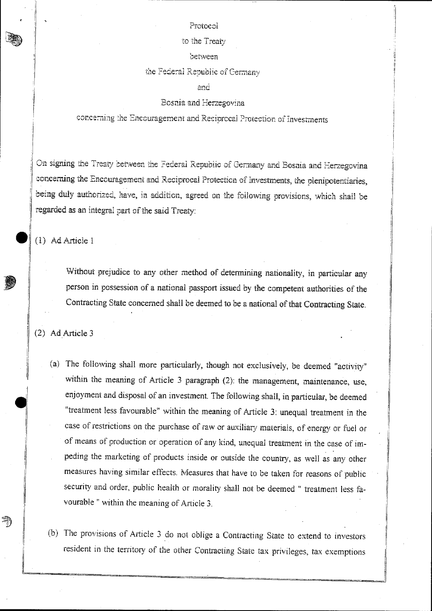#### Protocol

#### to the Treaty

## between

#### the Federal Republic of Germany

and

#### Bosnia and Herzegovina

concerning the Encouragement and Reciprocal Protection of Investments

On signing the Treaty between the Federal Republic of Germany and Bosnia and Herzegovina concerning the Encouragement and Reciprocal Protection of Investments, the plenipotentiaries, being duly authorized, have, in addition, agreed on the following provisions, which shall be regarded as an integral part of the said Treaty:

(1) Ad Article 1

Without prejudice to any other method of determining nationality, in particular any person in possession of a national passport issued by the competent authorities of the Contracting State concerned shall be deemed to be a national of that Contracting State.

(2) Ad Article 3

A)

- (a) The following shall more particularly, though not exclusively, be deemed "activity" within the meaning of Article 3 paragraph (2): the management, maintenance, use, enjoyment and disposal of an investment. The following shall, in particular, be deemed "treatment less favourable" within the meaning of Article 3: unequal treatment in the case of restrictions on the purchase of raw or auxiliary materials, of energy or fuel or of means of production or operation of any kind, unequal treatment in the case of impeding the marketing of products inside or outside the country, as well as any other measures having similar effects. Measures that have to be taken for reasons of public security and order, public health or morality shall not be deemed " treatment less favourable " within the meaning of Article 3.
- (b) The provisions of Article 3 do not oblige a Contracting State to extend to investors resident in the territory of the other Contracting State tax privileges, tax exemptions